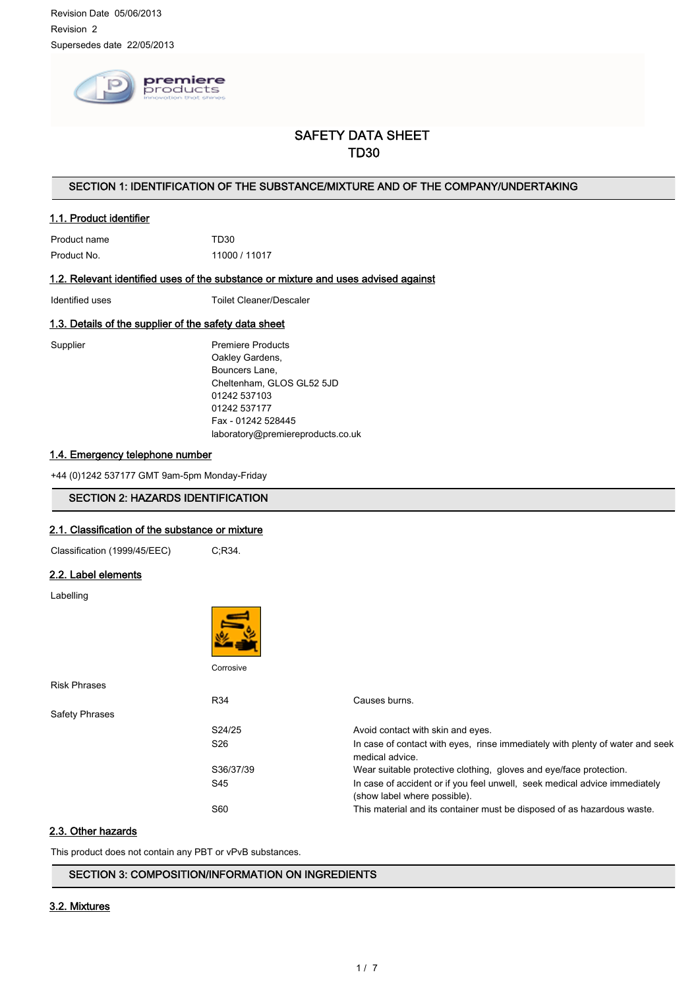

# SAFETY DATA SHEET TD30

# SECTION 1: IDENTIFICATION OF THE SUBSTANCE/MIXTURE AND OF THE COMPANY/UNDERTAKING

## 1.1. Product identifier

Product name TD30 Product No. 11000 / 11017

### 1.2. Relevant identified uses of the substance or mixture and uses advised against

Identified uses Toilet Cleaner/Descaler

# 1.3. Details of the supplier of the safety data sheet

Supplier Products Oakley Gardens, Bouncers Lane, Cheltenham, GLOS GL52 5JD 01242 537103 01242 537177 Fax - 01242 528445 laboratory@premiereproducts.co.uk

## 1.4. Emergency telephone number

+44 (0)1242 537177 GMT 9am-5pm Monday-Friday

### SECTION 2: HAZARDS IDENTIFICATION

### 2.1. Classification of the substance or mixture

Classification (1999/45/EEC) C;R34.

### 2.2. Label elements

| Labelling             |           |                                                                                                            |
|-----------------------|-----------|------------------------------------------------------------------------------------------------------------|
|                       |           |                                                                                                            |
|                       | Corrosive |                                                                                                            |
| <b>Risk Phrases</b>   |           |                                                                                                            |
|                       | R34       | Causes burns.                                                                                              |
| <b>Safety Phrases</b> |           |                                                                                                            |
|                       | S24/25    | Avoid contact with skin and eyes.                                                                          |
|                       | S26       | In case of contact with eyes, rinse immediately with plenty of water and seek<br>medical advice.           |
|                       | S36/37/39 | Wear suitable protective clothing, gloves and eye/face protection.                                         |
|                       | S45       | In case of accident or if you feel unwell, seek medical advice immediately<br>(show label where possible). |
|                       | S60       | This material and its container must be disposed of as hazardous waste.                                    |

# 2.3. Other hazards

This product does not contain any PBT or vPvB substances.

SECTION 3: COMPOSITION/INFORMATION ON INGREDIENTS

### 3.2. Mixtures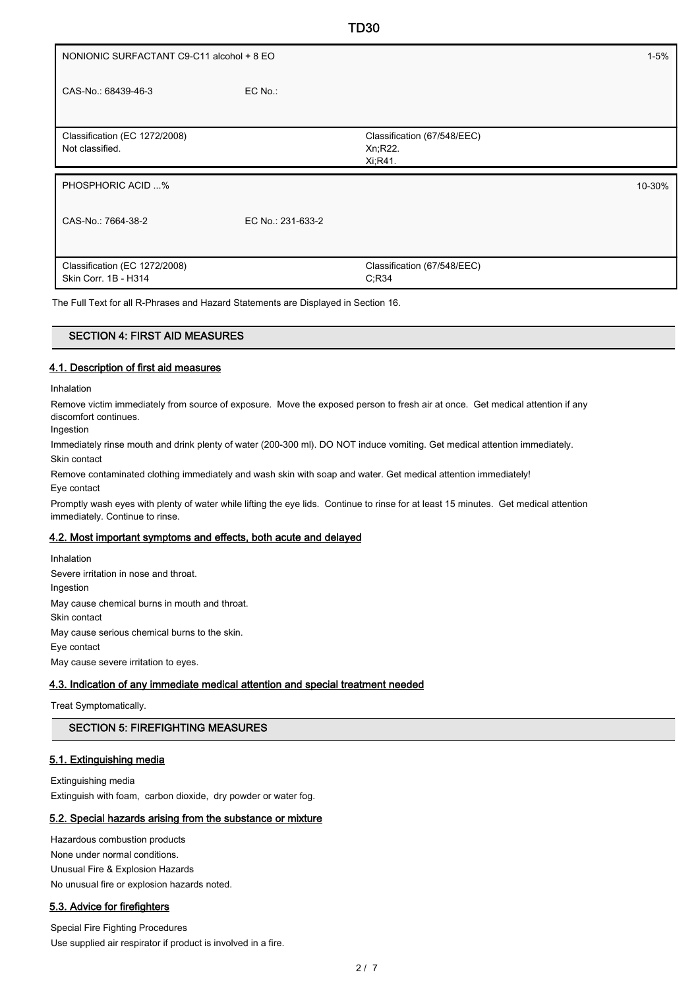| NONIONIC SURFACTANT C9-C11 alcohol + 8 EO             |                   |                                                     | $1 - 5%$ |
|-------------------------------------------------------|-------------------|-----------------------------------------------------|----------|
| CAS-No.: 68439-46-3                                   | $EC$ No.:         |                                                     |          |
| Classification (EC 1272/2008)<br>Not classified.      |                   | Classification (67/548/EEC)<br>Xn, R22.<br>Xi, R41. |          |
| PHOSPHORIC ACID %                                     |                   |                                                     | 10-30%   |
| CAS-No.: 7664-38-2                                    | EC No.: 231-633-2 |                                                     |          |
| Classification (EC 1272/2008)<br>Skin Corr. 1B - H314 |                   | Classification (67/548/EEC)<br>C; R34               |          |

TD30

The Full Text for all R-Phrases and Hazard Statements are Displayed in Section 16.

## SECTION 4: FIRST AID MEASURES

### 4.1. Description of first aid measures

Inhalation

Remove victim immediately from source of exposure. Move the exposed person to fresh air at once. Get medical attention if any discomfort continues.

Ingestion

Immediately rinse mouth and drink plenty of water (200-300 ml). DO NOT induce vomiting. Get medical attention immediately. Skin contact

Remove contaminated clothing immediately and wash skin with soap and water. Get medical attention immediately!

Eye contact

Promptly wash eyes with plenty of water while lifting the eye lids. Continue to rinse for at least 15 minutes. Get medical attention immediately. Continue to rinse.

### 4.2. Most important symptoms and effects, both acute and delayed

Inhalation Severe irritation in nose and throat. Ingestion May cause chemical burns in mouth and throat. Skin contact May cause serious chemical burns to the skin. Eye contact May cause severe irritation to eyes.

### 4.3. Indication of any immediate medical attention and special treatment needed

Treat Symptomatically.

# SECTION 5: FIREFIGHTING MEASURES

### 5.1. Extinguishing media

Extinguishing media Extinguish with foam, carbon dioxide, dry powder or water fog.

## 5.2. Special hazards arising from the substance or mixture

Hazardous combustion products None under normal conditions. Unusual Fire & Explosion Hazards No unusual fire or explosion hazards noted.

# 5.3. Advice for firefighters

Special Fire Fighting Procedures Use supplied air respirator if product is involved in a fire.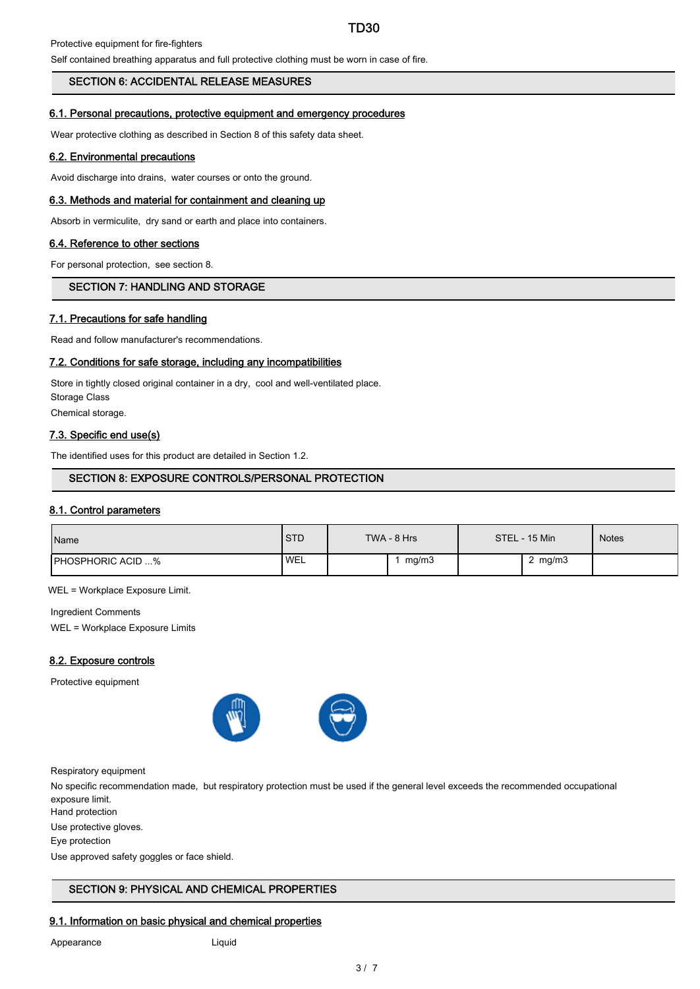# TD30

Protective equipment for fire-fighters

Self contained breathing apparatus and full protective clothing must be worn in case of fire.

### SECTION 6: ACCIDENTAL RELEASE MEASURES

#### 6.1. Personal precautions, protective equipment and emergency procedures

Wear protective clothing as described in Section 8 of this safety data sheet.

#### 6.2. Environmental precautions

Avoid discharge into drains, water courses or onto the ground.

#### 6.3. Methods and material for containment and cleaning up

Absorb in vermiculite, dry sand or earth and place into containers.

#### 6.4. Reference to other sections

For personal protection, see section 8.

# SECTION 7: HANDLING AND STORAGE

#### 7.1. Precautions for safe handling

Read and follow manufacturer's recommendations.

#### 7.2. Conditions for safe storage, including any incompatibilities

Store in tightly closed original container in a dry, cool and well-ventilated place. Storage Class Chemical storage.

### 7.3. Specific end use(s)

The identified uses for this product are detailed in Section 1.2.

### SECTION 8: EXPOSURE CONTROLS/PERSONAL PROTECTION

#### 8.1. Control parameters

| Name                     | <b>STD</b> | $TWA - 8 Hrs$ | STEL - 15 Min | <b>Notes</b> |
|--------------------------|------------|---------------|---------------|--------------|
| <b>PHOSPHORIC ACID %</b> | <b>WEL</b> | mg/m3         | mg/m3         |              |

WEL = Workplace Exposure Limit.

Ingredient Comments WEL = Workplace Exposure Limits

#### 8.2. Exposure controls

Protective equipment



Respiratory equipment

No specific recommendation made, but respiratory protection must be used if the general level exceeds the recommended occupational exposure limit.

Hand protection

Use protective gloves.

Eye protection

Use approved safety goggles or face shield.

# SECTION 9: PHYSICAL AND CHEMICAL PROPERTIES

## 9.1. Information on basic physical and chemical properties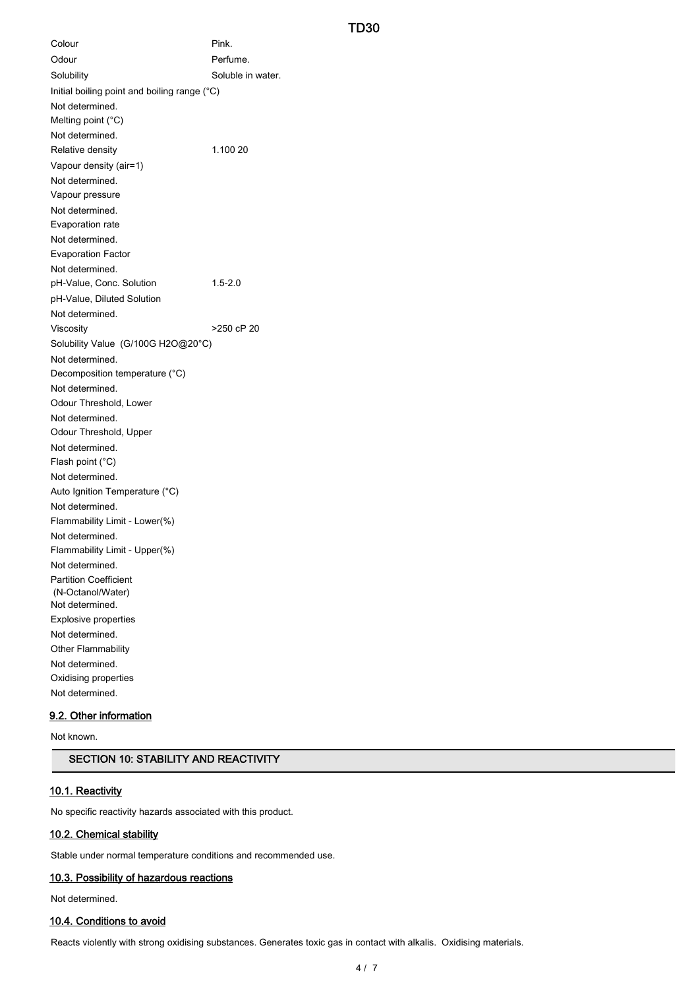## TD30

Colour Pink. Odour **Perfume.** Solubility Soluble in water. Initial boiling point and boiling range (°C) Not determined. Melting point (°C) Not determined. Relative density 1.100 20 Vapour density (air=1) Not determined. Vapour pressure Not determined. Evaporation rate Not determined. Evaporation Factor Not determined. pH-Value, Conc. Solution 1.5-2.0 pH-Value, Diluted Solution Not determined. Viscosity **>250 cP 20** Solubility Value (G/100G H2O@20°C) Not determined. Decomposition temperature (°C) Not determined. Odour Threshold, Lower Not determined. Odour Threshold, Upper Not determined. Flash point (°C) Not determined. Auto Ignition Temperature (°C) Not determined. Flammability Limit - Lower(%) Not determined. Flammability Limit - Upper(%) Not determined. Partition Coefficient (N-Octanol/Water) Not determined. Explosive properties Not determined. Other Flammability Not determined. Oxidising properties Not determined.

# 9.2. Other information

Not known.

# SECTION 10: STABILITY AND REACTIVITY

### 10.1. Reactivity

No specific reactivity hazards associated with this product.

#### 10.2. Chemical stability

Stable under normal temperature conditions and recommended use.

#### 10.3. Possibility of hazardous reactions

Not determined.

## 10.4. Conditions to avoid

Reacts violently with strong oxidising substances. Generates toxic gas in contact with alkalis. Oxidising materials.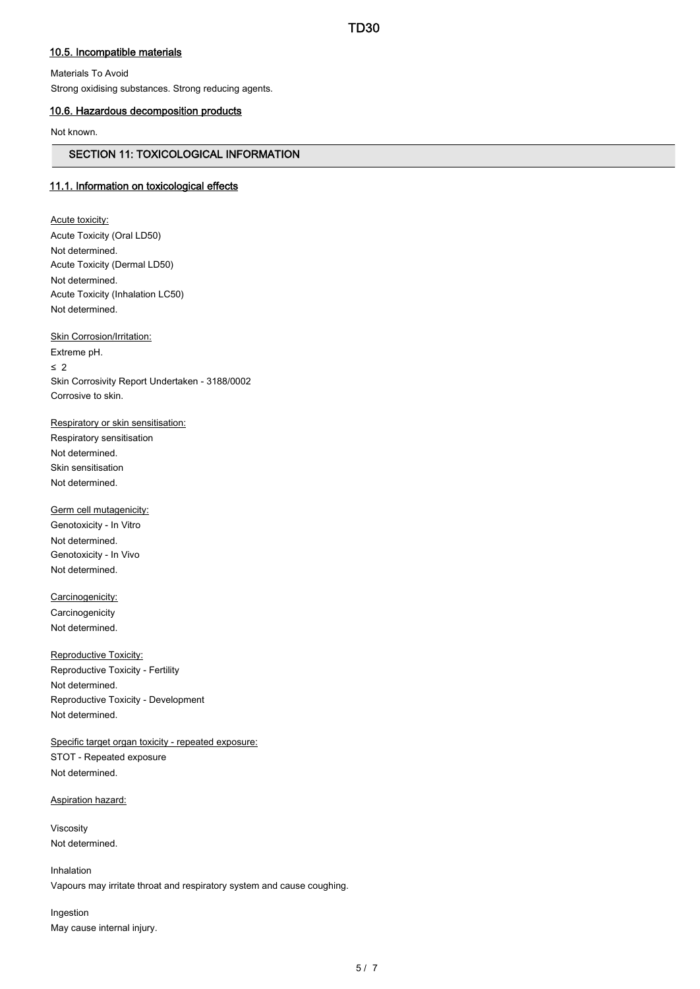# 10.5. Incompatible materials

Materials To Avoid Strong oxidising substances. Strong reducing agents.

# 10.6. Hazardous decomposition products

Not known.

### SECTION 11: TOXICOLOGICAL INFORMATION

# 11.1. Information on toxicological effects

Acute toxicity: Acute Toxicity (Oral LD50) Not determined. Acute Toxicity (Dermal LD50) Not determined. Acute Toxicity (Inhalation LC50) Not determined.

Skin Corrosion/Irritation:

Extreme pH. ≤ 2 Skin Corrosivity Report Undertaken - 3188/0002 Corrosive to skin.

Respiratory or skin sensitisation:

Respiratory sensitisation Not determined. Skin sensitisation Not determined.

Germ cell mutagenicity: Genotoxicity - In Vitro Not determined. Genotoxicity - In Vivo Not determined.

Carcinogenicity: **Carcinogenicity** Not determined.

Reproductive Toxicity: Reproductive Toxicity - Fertility Not determined. Reproductive Toxicity - Development Not determined.

Specific target organ toxicity - repeated exposure: STOT - Repeated exposure Not determined.

Aspiration hazard:

Viscosity Not determined.

Inhalation

Vapours may irritate throat and respiratory system and cause coughing.

Ingestion May cause internal injury.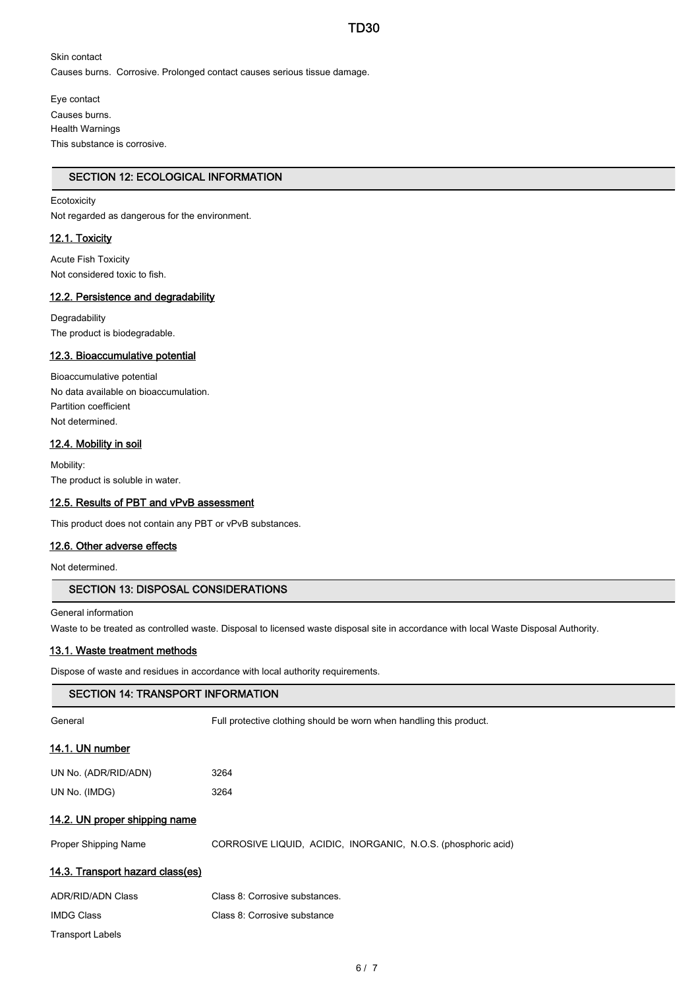Skin contact Causes burns. Corrosive. Prolonged contact causes serious tissue damage.

Eye contact Causes burns. Health Warnings This substance is corrosive.

# SECTION 12: ECOLOGICAL INFORMATION

## Ecotoxicity

Not regarded as dangerous for the environment.

## 12.1. Toxicity

Acute Fish Toxicity Not considered toxic to fish.

# 12.2. Persistence and degradability

**Degradability** The product is biodegradable.

### 12.3. Bioaccumulative potential

Bioaccumulative potential No data available on bioaccumulation. Partition coefficient Not determined.

### 12.4. Mobility in soil

Mobility: The product is soluble in water.

### 12.5. Results of PBT and vPvB assessment

This product does not contain any PBT or vPvB substances.

#### 12.6. Other adverse effects

Not determined.

# SECTION 13: DISPOSAL CONSIDERATIONS

General information

Waste to be treated as controlled waste. Disposal to licensed waste disposal site in accordance with local Waste Disposal Authority.

### 13.1. Waste treatment methods

Dispose of waste and residues in accordance with local authority requirements.

| <b>SECTION 14: TRANSPORT INFORMATION</b> |                                                                     |  |
|------------------------------------------|---------------------------------------------------------------------|--|
| General                                  | Full protective clothing should be worn when handling this product. |  |
| 14.1. UN number                          |                                                                     |  |
| UN No. (ADR/RID/ADN)                     | 3264                                                                |  |
| UN No. (IMDG)                            | 3264                                                                |  |
| 14.2. UN proper shipping name            |                                                                     |  |
| Proper Shipping Name                     | CORROSIVE LIQUID, ACIDIC, INORGANIC, N.O.S. (phosphoric acid)       |  |
| 14.3. Transport hazard class(es)         |                                                                     |  |
| <b>ADR/RID/ADN Class</b>                 | Class 8: Corrosive substances.                                      |  |
| <b>IMDG Class</b>                        | Class 8: Corrosive substance                                        |  |
| <b>Transport Labels</b>                  |                                                                     |  |
|                                          |                                                                     |  |